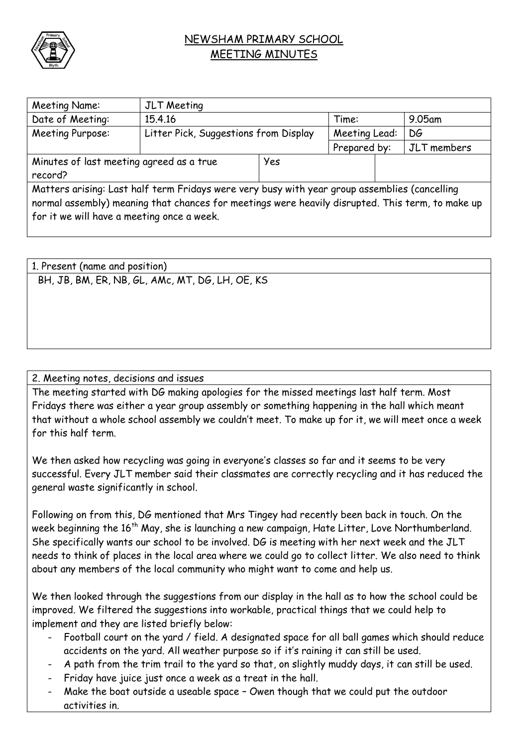

## NEWSHAM PRIMARY SCHOOL MEETING MINUTES

| Meeting Name:                                                                                                                                                                                                                                   | JLT Meeting                           |            |               |  |             |  |
|-------------------------------------------------------------------------------------------------------------------------------------------------------------------------------------------------------------------------------------------------|---------------------------------------|------------|---------------|--|-------------|--|
| Date of Meeting:                                                                                                                                                                                                                                | 15.4.16                               |            | Time:         |  | $9.05$ am   |  |
| Meeting Purpose:                                                                                                                                                                                                                                | Litter Pick, Suggestions from Display |            | Meeting Lead: |  | DG          |  |
|                                                                                                                                                                                                                                                 |                                       |            | Prepared by:  |  | JLT members |  |
| Minutes of last meeting agreed as a true                                                                                                                                                                                                        |                                       | <b>Yes</b> |               |  |             |  |
| record?                                                                                                                                                                                                                                         |                                       |            |               |  |             |  |
| Matters arising: Last half term Fridays were very busy with year group assemblies (cancelling<br>normal assembly) meaning that chances for meetings were heavily disrupted. This term, to make up<br>for it we will have a meeting once a week. |                                       |            |               |  |             |  |

1. Present (name and position) BH, JB, BM, ER, NB, GL, AMc, MT, DG, LH, OE, KS

## 2. Meeting notes, decisions and issues

The meeting started with DG making apologies for the missed meetings last half term. Most Fridays there was either a year group assembly or something happening in the hall which meant that without a whole school assembly we couldn't meet. To make up for it, we will meet once a week for this half term.

We then asked how recycling was going in everyone's classes so far and it seems to be very successful. Every JLT member said their classmates are correctly recycling and it has reduced the general waste significantly in school.

Following on from this, DG mentioned that Mrs Tingey had recently been back in touch. On the week beginning the 16<sup>th</sup> May, she is launching a new campaign, Hate Litter, Love Northumberland. She specifically wants our school to be involved. DG is meeting with her next week and the JLT needs to think of places in the local area where we could go to collect litter. We also need to think about any members of the local community who might want to come and help us.

We then looked through the suggestions from our display in the hall as to how the school could be improved. We filtered the suggestions into workable, practical things that we could help to implement and they are listed briefly below:

- Football court on the yard / field. A designated space for all ball games which should reduce accidents on the yard. All weather purpose so if it's raining it can still be used.
- A path from the trim trail to the yard so that, on slightly muddy days, it can still be used.
- Friday have juice just once a week as a treat in the hall.
- Make the boat outside a useable space Owen though that we could put the outdoor activities in.